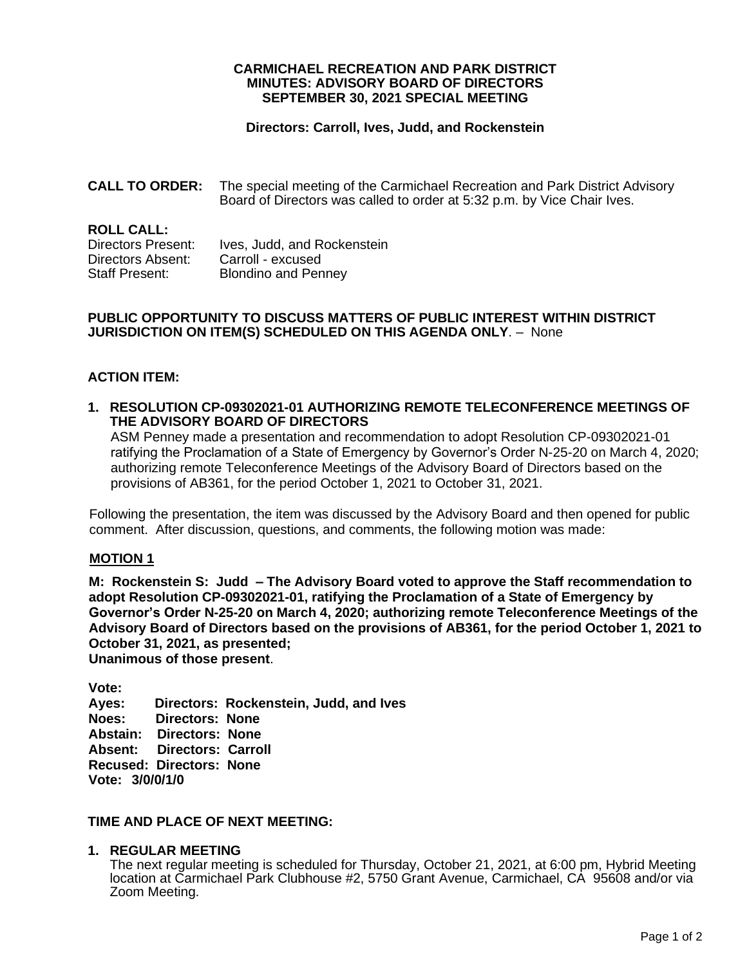### **CARMICHAEL RECREATION AND PARK DISTRICT MINUTES: ADVISORY BOARD OF DIRECTORS SEPTEMBER 30, 2021 SPECIAL MEETING**

## **Directors: Carroll, Ives, Judd, and Rockenstein**

**CALL TO ORDER:** The special meeting of the Carmichael Recreation and Park District Advisory Board of Directors was called to order at 5:32 p.m. by Vice Chair Ives.

**ROLL CALL:** Directors Present: Ives, Judd, and Rockenstein Directors Absent: Carroll - excused Staff Present: Blondino and Penney

## **PUBLIC OPPORTUNITY TO DISCUSS MATTERS OF PUBLIC INTEREST WITHIN DISTRICT JURISDICTION ON ITEM(S) SCHEDULED ON THIS AGENDA ONLY**. – None

# **ACTION ITEM:**

**1. RESOLUTION CP-09302021-01 AUTHORIZING REMOTE TELECONFERENCE MEETINGS OF THE ADVISORY BOARD OF DIRECTORS**

ASM Penney made a presentation and recommendation to adopt Resolution CP-09302021-01 ratifying the Proclamation of a State of Emergency by Governor's Order N-25-20 on March 4, 2020; authorizing remote Teleconference Meetings of the Advisory Board of Directors based on the provisions of AB361, for the period October 1, 2021 to October 31, 2021.

Following the presentation, the item was discussed by the Advisory Board and then opened for public comment. After discussion, questions, and comments, the following motion was made:

#### **MOTION 1**

**M: Rockenstein S: Judd – The Advisory Board voted to approve the Staff recommendation to adopt Resolution CP-09302021-01, ratifying the Proclamation of a State of Emergency by Governor's Order N-25-20 on March 4, 2020; authorizing remote Teleconference Meetings of the Advisory Board of Directors based on the provisions of AB361, for the period October 1, 2021 to October 31, 2021, as presented;**

**Unanimous of those present**.

**Vote:** 

**Ayes: Directors: Rockenstein, Judd, and Ives Noes: Directors: None Abstain: Directors: None Absent: Directors: Carroll Recused: Directors: None Vote: 3/0/0/1/0**

## **TIME AND PLACE OF NEXT MEETING:**

### **1. REGULAR MEETING**

The next regular meeting is scheduled for Thursday, October 21, 2021, at 6:00 pm, Hybrid Meeting location at Carmichael Park Clubhouse #2, 5750 Grant Avenue, Carmichael, CA 95608 and/or via Zoom Meeting.